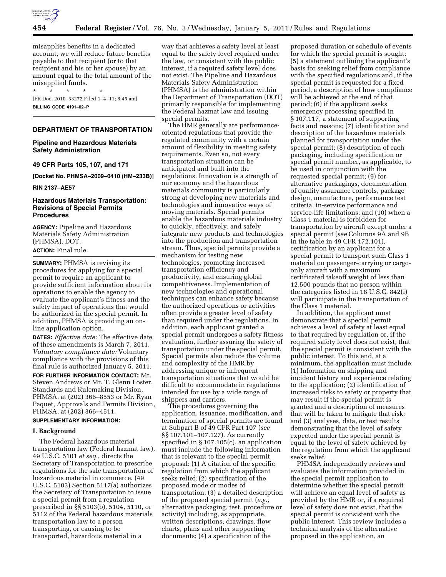

misapplies benefits in a dedicated account, we will reduce future benefits payable to that recipient (or to that recipient and his or her spouse) by an amount equal to the total amount of the misapplied funds.

\* \* \* \* \* [FR Doc. 2010–33272 Filed 1–4–11; 8:45 am] **BILLING CODE 4191–02–P** 

## **DEPARTMENT OF TRANSPORTATION**

**Pipeline and Hazardous Materials Safety Administration** 

#### **49 CFR Parts 105, 107, and 171**

**[Docket No. PHMSA–2009–0410 (HM–233B)]** 

**RIN 2137–AE57** 

## **Hazardous Materials Transportation: Revisions of Special Permits Procedures**

**AGENCY:** Pipeline and Hazardous Materials Safety Administration (PHMSA), DOT.

# **ACTION:** Final rule.

**SUMMARY:** PHMSA is revising its procedures for applying for a special permit to require an applicant to provide sufficient information about its operations to enable the agency to evaluate the applicant's fitness and the safety impact of operations that would be authorized in the special permit. In addition, PHMSA is providing an online application option.

**DATES:** *Effective date:* The effective date of these amendments is March 7, 2011. *Voluntary compliance date:* Voluntary compliance with the provisions of this final rule is authorized January 5, 2011.

**FOR FURTHER INFORMATION CONTACT:** Mr. Steven Andrews or Mr. T. Glenn Foster, Standards and Rulemaking Division, PHMSA, at (202) 366–8553 or Mr. Ryan Paquet, Approvals and Permits Division, PHMSA, at (202) 366–4511.

#### **SUPPLEMENTARY INFORMATION:**

#### **I. Background**

The Federal hazardous material transportation law (Federal hazmat law), 49 U.S.C. 5101 *et seq.*, directs the Secretary of Transportation to prescribe regulations for the safe transportation of hazardous material in commerce. (49 U.S.C. 5103) Section 5117(a) authorizes the Secretary of Transportation to issue a special permit from a regulation prescribed in §§ 5103(b), 5104, 5110, or 5112 of the Federal hazardous materials transportation law to a person transporting, or causing to be transported, hazardous material in a

way that achieves a safety level at least equal to the safety level required under the law, or consistent with the public interest, if a required safety level does not exist. The Pipeline and Hazardous Materials Safety Administration (PHMSA) is the administration within the Department of Transportation (DOT) primarily responsible for implementing the Federal hazmat law and issuing special permits.

The HMR generally are performanceoriented regulations that provide the regulated community with a certain amount of flexibility in meeting safety requirements. Even so, not every transportation situation can be anticipated and built into the regulations. Innovation is a strength of our economy and the hazardous materials community is particularly strong at developing new materials and technologies and innovative ways of moving materials. Special permits enable the hazardous materials industry to quickly, effectively, and safely integrate new products and technologies into the production and transportation stream. Thus, special permits provide a mechanism for testing new technologies, promoting increased transportation efficiency and productivity, and ensuring global competitiveness. Implementation of new technologies and operational techniques can enhance safety because the authorized operations or activities often provide a greater level of safety than required under the regulations. In addition, each applicant granted a special permit undergoes a safety fitness evaluation, further assuring the safety of transportation under the special permit. Special permits also reduce the volume and complexity of the HMR by addressing unique or infrequent transportation situations that would be difficult to accommodate in regulations intended for use by a wide range of shippers and carriers.

The procedures governing the application, issuance, modification, and termination of special permits are found at Subpart B of 49 CFR Part 107 (*see*  §§ 107.101–107.127). As currently specified in § 107.105(c), an application must include the following information that is relevant to the special permit proposal: (1) A citation of the specific regulation from which the applicant seeks relief; (2) specification of the proposed mode or modes of transportation; (3) a detailed description of the proposed special permit (*e.g.*, alternative packaging, test, procedure or activity) including, as appropriate, written descriptions, drawings, flow charts, plans and other supporting documents; (4) a specification of the

proposed duration or schedule of events for which the special permit is sought; (5) a statement outlining the applicant's basis for seeking relief from compliance with the specified regulations and, if the special permit is requested for a fixed period, a description of how compliance will be achieved at the end of that period; (6) if the applicant seeks emergency processing specified in § 107.117, a statement of supporting facts and reasons; (7) identification and description of the hazardous materials planned for transportation under the special permit; (8) description of each packaging, including specification or special permit number, as applicable, to be used in conjunction with the requested special permit; (9) for alternative packagings, documentation of quality assurance controls, package design, manufacture, performance test criteria, in-service performance and service-life limitations; and (10) when a Class 1 material is forbidden for transportation by aircraft except under a special permit (*see* Columns 9A and 9B in the table in 49 CFR 172.101), certification by an applicant for a special permit to transport such Class 1 material on passenger-carrying or cargoonly aircraft with a maximum certificated takeoff weight of less than 12,500 pounds that no person within the categories listed in 18 U.S.C. 842(i) will participate in the transportation of the Class 1 material.

In addition, the applicant must demonstrate that a special permit achieves a level of safety at least equal to that required by regulation or, if the required safety level does not exist, that the special permit is consistent with the public interest. To this end, at a minimum, the application must include: (1) Information on shipping and incident history and experience relating to the application; (2) identification of increased risks to safety or property that may result if the special permit is granted and a description of measures that will be taken to mitigate that risk; and (3) analyses, data, or test results demonstrating that the level of safety expected under the special permit is equal to the level of safety achieved by the regulation from which the applicant seeks relief.

PHMSA independently reviews and evaluates the information provided in the special permit application to determine whether the special permit will achieve an equal level of safety as provided by the HMR or, if a required level of safety does not exist, that the special permit is consistent with the public interest. This review includes a technical analysis of the alternative proposed in the application, an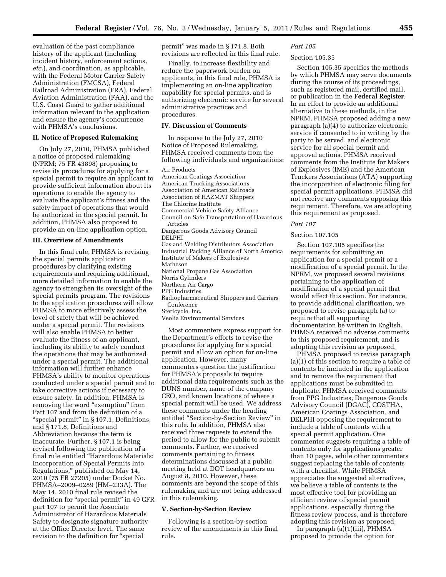evaluation of the past compliance history of the applicant (including incident history, enforcement actions, *etc.*), and coordination, as applicable, with the Federal Motor Carrier Safety Administration (FMCSA), Federal Railroad Administration (FRA), Federal Aviation Administration (FAA), and the U.S. Coast Guard to gather additional information relevant to the application and ensure the agency's concurrence with PHMSA's conclusions.

#### **II. Notice of Proposed Rulemaking**

On July 27, 2010, PHMSA published a notice of proposed rulemaking (NPRM; 75 FR 43898) proposing to revise its procedures for applying for a special permit to require an applicant to provide sufficient information about its operations to enable the agency to evaluate the applicant's fitness and the safety impact of operations that would be authorized in the special permit. In addition, PHMSA also proposed to provide an on-line application option.

## **III. Overview of Amendments**

In this final rule, PHMSA is revising the special permits application procedures by clarifying existing requirements and requiring additional, more detailed information to enable the agency to strengthen its oversight of the special permits program. The revisions to the application procedures will allow PHMSA to more effectively assess the level of safety that will be achieved under a special permit. The revisions will also enable PHMSA to better evaluate the fitness of an applicant, including its ability to safely conduct the operations that may be authorized under a special permit. The additional information will further enhance PHMSA's ability to monitor operations conducted under a special permit and to take corrective actions if necessary to ensure safety. In addition, PHMSA is removing the word "exemption" from Part 107 and from the definition of a "special permit" in § 107.1, Definitions, and § 171.8, Definitions and Abbreviation because the term is inaccurate. Further, § 107.1 is being revised following the publication of a final rule entitled ''Hazardous Materials: Incorporation of Special Permits Into Regulations,'' published on May 14, 2010 (75 FR 27205) under Docket No. PHMSA–2009–0289 (HM–233A). The May 14, 2010 final rule revised the definition for "special permit" in 49 CFR part 107 to permit the Associate Administrator of Hazardous Materials Safety to designate signature authority at the Office Director level. The same revision to the definition for ''special

permit'' was made in § 171.8. Both revisions are reflected in this final rule.

Finally, to increase flexibility and reduce the paperwork burden on applicants, in this final rule, PHMSA is implementing an on-line application capability for special permits, and is authorizing electronic service for several administrative practices and procedures.

## **IV. Discussion of Comments**

In response to the July 27, 2010 Notice of Proposed Rulemaking, PHMSA received comments from the following individuals and organizations:

#### Air Products

American Coatings Association American Trucking Associations Association of American Railroads Association of HAZMAT Shippers The Chlorine Institute Commercial Vehicle Safety Alliance Council on Safe Transportation of Hazardous Articles Dangerous Goods Advisory Council DELPHI Gas and Welding Distributors Association Industrial Packing Alliance of North America Institute of Makers of Explosives Matheson National Propane Gas Association Norris Cylinders Northern Air Cargo PPG Industries Radiopharmaceutical Shippers and Carriers Conference Stericycle, Inc. Veolia Environmental Services

Most commenters express support for the Department's efforts to revise the procedures for applying for a special permit and allow an option for on-line application. However, many commenters question the justification for PHMSA's proposals to require additional data requirements such as the DUNS number, name of the company CEO, and known locations of where a special permit will be used. We address these comments under the heading entitled ''Section-by-Section Review'' in this rule. In addition, PHMSA also received three requests to extend the period to allow for the public to submit comments. Further, we received comments pertaining to fitness determinations discussed at a public meeting held at DOT headquarters on August 8, 2010. However, these comments are beyond the scope of this rulemaking and are not being addressed in this rulemaking.

#### **V. Section-by-Section Review**

Following is a section-by-section review of the amendments in this final rule.

# *Part 105*

## Section 105.35

Section 105.35 specifies the methods by which PHMSA may serve documents during the course of its proceedings, such as registered mail, certified mail, or publication in the **Federal Register**. In an effort to provide an additional alternative to these methods, in the NPRM, PHMSA proposed adding a new paragraph (a)(4) to authorize electronic service if consented to in writing by the party to be served, and electronic service for all special permit and approval actions. PHMSA received comments from the Institute for Makers of Explosives (IME) and the American Truckers Associations (ATA) supporting the incorporation of electronic filing for special permit applications. PHMSA did not receive any comments opposing this requirement. Therefore, we are adopting this requirement as proposed.

#### *Part 107*

#### Section 107.105

Section 107.105 specifies the requirements for submitting an application for a special permit or a modification of a special permit. In the NPRM, we proposed several revisions pertaining to the application of modification of a special permit that would affect this section. For instance, to provide additional clarification, we proposed to revise paragraph (a) to require that all supporting documentation be written in English. PHMSA received no adverse comments to this proposed requirement, and is adopting this revision as proposed.

PHMSA proposed to revise paragraph (a)(1) of this section to require a table of contents be included in the application and to remove the requirement that applications must be submitted in duplicate. PHMSA received comments from PPG Industries, Dangerous Goods Advisory Council (DGAC), COSTHA, American Coatings Association, and DELPHI opposing the requirement to include a table of contents with a special permit application. One commenter suggests requiring a table of contents only for applications greater than 10 pages, while other commenters suggest replacing the table of contents with a checklist. While PHMSA appreciates the suggested alternatives, we believe a table of contents is the most effective tool for providing an efficient review of special permit applications, especially during the fitness review process, and is therefore adopting this revision as proposed.

In paragraph (a)(1)(iii), PHMSA proposed to provide the option for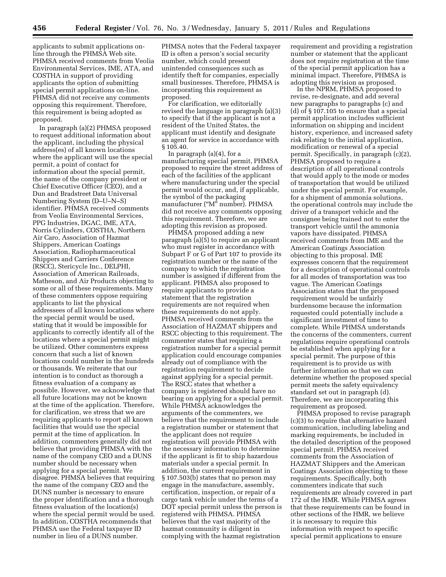applicants to submit applications online through the PHMSA Web site. PHMSA received comments from Veolia Environmental Services, IME, ATA, and COSTHA in support of providing applicants the option of submitting special permit applications on-line. PHMSA did not receive any comments opposing this requirement. Therefore, this requirement is being adopted as proposed.

In paragraph (a)(2) PHMSA proposed to request additional information about the applicant, including the physical address(es) of all known locations where the applicant will use the special permit, a point of contact for information about the special permit, the name of the company president or Chief Executive Officer (CEO), and a Dun and Bradstreet Data Universal Numbering System (D–U–N–S) identifier. PHMSA received comments from Veolia Environmental Services, PPG Industries, DGAC, IME, ATA, Norris Cylinders, COSTHA, Northern Air Caro, Association of Hazmat Shippers, American Coatings Association, Radiopharmaceutical Shippers and Carriers Conference (RSCC), Stericycle Inc., DELPHI, Association of American Railroads, Matheson, and Air Products objecting to some or all of these requirements. Many of these commenters oppose requiring applicants to list the physical addressees of all known locations where the special permit would be used, stating that it would be impossible for applicants to correctly identify all of the locations where a special permit might be utilized. Other commenters express concern that such a list of known locations could number in the hundreds or thousands. We reiterate that our intention is to conduct as thorough a fitness evaluation of a company as possible. However, we acknowledge that all future locations may not be known at the time of the application. Therefore, for clarification, we stress that we are requiring applicants to report all known facilities that would use the special permit at the time of application. In addition, commenters generally did not believe that providing PHMSA with the name of the company CEO and a DUNS number should be necessary when applying for a special permit. We disagree. PHMSA believes that requiring the name of the company CEO and the DUNS number is necessary to ensure the proper identification and a thorough fitness evaluation of the location(s) where the special permit would be used. In addition, COSTHA recommends that PHMSA use the Federal taxpayer ID number in lieu of a DUNS number.

PHMSA notes that the Federal taxpayer ID is often a person's social security number, which could present unintended consequences such as identify theft for companies, especially small businesses. Therefore, PHMSA is incorporating this requirement as proposed.

For clarification, we editorially revised the language in paragraph (a)(3) to specify that if the applicant is not a resident of the United States, the applicant must identify and designate an agent for service in accordance with § 105.40.

In paragraph (a)(4), for a manufacturing special permit, PHMSA proposed to require the street address of each of the facilities of the applicant where manufacturing under the special permit would occur, and, if applicable, the symbol of the packaging manufacturer (''M'' number). PHMSA did not receive any comments opposing this requirement. Therefore, we are adopting this revision as proposed.

PHMSA proposed adding a new paragraph (a)(5) to require an applicant who must register in accordance with Subpart F or G of Part 107 to provide its registration number or the name of the company to which the registration number is assigned if different from the applicant. PHMSA also proposed to require applicants to provide a statement that the registration requirements are not required when these requirements do not apply. PHMSA received comments from the Association of HAZMAT shippers and RSCC objecting to this requirement. The commenter states that requiring a registration number for a special permit application could encourage companies already out of compliance with the registration requirement to decide against applying for a special permit. The RSCC states that whether a company is registered should have no bearing on applying for a special permit. While PHMSA acknowledges the arguments of the commenters, we believe that the requirement to include a registration number or statement that the applicant does not require registration will provide PHMSA with the necessary information to determine if the applicant is fit to ship hazardous materials under a special permit. In addition, the current requirement in § 107.503(b) states that no person may engage in the manufacture, assembly, certification, inspection, or repair of a cargo tank vehicle under the terms of a DOT special permit unless the person is registered with PHMSA. PHMSA believes that the vast majority of the hazmat community is diligent in complying with the hazmat registration

requirement and providing a registration number or statement that the applicant does not require registration at the time of the special permit application has a minimal impact. Therefore, PHMSA is adopting this revision as proposed.

In the NPRM, PHMSA proposed to revise, re-designate, and add several new paragraphs to paragraphs (c) and (d) of § 107.105 to ensure that a special permit application includes sufficient information on shipping and incident history, experience, and increased safety risk relating to the initial application, modification or renewal of a special permit. Specifically, in paragraph (c)(2), PHMSA proposed to require a description of all operational controls that would apply to the mode or modes of transportation that would be utilized under the special permit. For example, for a shipment of ammonia solutions, the operational controls may include the driver of a transport vehicle and the consignee being trained not to enter the transport vehicle until the ammonia vapors have dissipated. PHMSA received comments from IME and the American Coatings Association objecting to this proposal. IME expresses concern that the requirement for a description of operational controls for all modes of transportation was too vague. The American Coatings Association states that the proposed requirement would be unfairly burdensome because the information requested could potentially include a significant investment of time to complete. While PHMSA understands the concerns of the commenters, current regulations require operational controls be established when applying for a special permit. The purpose of this requirement is to provide us with further information so that we can determine whether the proposed special permit meets the safety equivalency standard set out in paragraph (d). Therefore, we are incorporating this requirement as proposed.

PHMSA proposed to revise paragraph (c)(3) to require that alternative hazard communication, including labeling and marking requirements, be included in the detailed description of the proposed special permit. PHMSA received comments from the Association of HAZMAT Shippers and the American Coatings Association objecting to these requirements. Specifically, both commenters indicate that such requirements are already covered in part 172 of the HMR. While PHMSA agrees that these requirements can be found in other sections of the HMR, we believe it is necessary to require this information with respect to specific special permit applications to ensure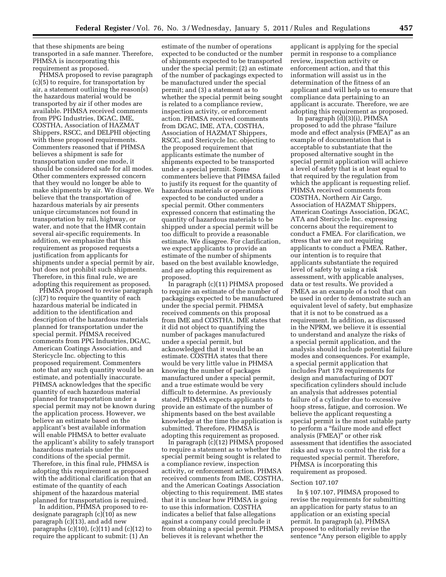that these shipments are being transported in a safe manner. Therefore, PHMSA is incorporating this requirement as proposed.

PHMSA proposed to revise paragraph (c)(5) to require, for transportation by air, a statement outlining the reason(s) the hazardous material would be transported by air if other modes are available. PHMSA received comments from PPG Industries, DGAC, IME, COSTHA, Association of HAZMAT Shippers, RSCC, and DELPHI objecting with these proposed requirements. Commenters reasoned that if PHMSA believes a shipment is safe for transportation under one mode, it should be considered safe for all modes. Other commenters expressed concern that they would no longer be able to make shipments by air. We disagree. We believe that the transportation of hazardous materials by air presents unique circumstances not found in transportation by rail, highway, or water, and note that the HMR contain several air-specific requirements. In addition, we emphasize that this requirement as proposed requests a justification from applicants for shipments under a special permit by air, but does not prohibit such shipments. Therefore, in this final rule, we are adopting this requirement as proposed.

PHMSA proposed to revise paragraph (c)(7) to require the quantity of each hazardous material be indicated in addition to the identification and description of the hazardous materials planned for transportation under the special permit. PHMSA received comments from PPG Industries, DGAC, American Coatings Association, and Stericycle Inc. objecting to this proposed requirement. Commenters note that any such quantity would be an estimate, and potentially inaccurate. PHMSA acknowledges that the specific quantity of each hazardous material planned for transportation under a special permit may not be known during the application process. However, we believe an estimate based on the applicant's best available information will enable PHMSA to better evaluate the applicant's ability to safely transport hazardous materials under the conditions of the special permit. Therefore, in this final rule, PHMSA is adopting this requirement as proposed with the additional clarification that an estimate of the quantity of each shipment of the hazardous material planned for transportation is required.

In addition, PHMSA proposed to redesignate paragraph (c)(10) as new paragraph (c)(13), and add new paragraphs  $(c)(10)$ ,  $(c)(11)$  and  $(c)(12)$  to require the applicant to submit: (1) An

estimate of the number of operations expected to be conducted or the number of shipments expected to be transported under the special permit; (2) an estimate of the number of packagings expected to be manufactured under the special permit; and (3) a statement as to whether the special permit being sought is related to a compliance review, inspection activity, or enforcement action. PHMSA received comments from DGAC, IME, ATA, COSTHA, Association of HAZMAT Shippers, RSCC, and Stericycle Inc. objecting to the proposed requirement that applicants estimate the number of shipments expected to be transported under a special permit. Some commenters believe that PHMSA failed to justify its request for the quantity of hazardous materials or operations expected to be conducted under a special permit. Other commenters expressed concern that estimating the quantity of hazardous materials to be shipped under a special permit will be too difficult to provide a reasonable estimate. We disagree. For clarification, we expect applicants to provide an estimate of the number of shipments based on the best available knowledge, and are adopting this requirement as proposed.

In paragraph (c)(11) PHMSA proposed to require an estimate of the number of packagings expected to be manufactured under the special permit. PHMSA received comments on this proposal from IME and COSTHA. IME states that it did not object to quantifying the number of packages manufactured under a special permit, but acknowledged that it would be an estimate. COSTHA states that there would be very little value in PHMSA knowing the number of packages manufactured under a special permit, and a true estimate would be very difficult to determine. As previously stated, PHMSA expects applicants to provide an estimate of the number of shipments based on the best available knowledge at the time the application is submitted. Therefore, PHMSA is adopting this requirement as proposed.

In paragraph (c)(12) PHMSA proposed to require a statement as to whether the special permit being sought is related to a compliance review, inspection activity, or enforcement action. PHMSA received comments from IME, COSTHA, and the American Coatings Association objecting to this requirement. IME states that it is unclear how PHMSA is going to use this information. COSTHA indicates a belief that false allegations against a company could preclude it from obtaining a special permit. PHMSA believes it is relevant whether the

applicant is applying for the special permit in response to a compliance review, inspection activity or enforcement action, and that this information will assist us in the determination of the fitness of an applicant and will help us to ensure that compliance data pertaining to an applicant is accurate. Therefore, we are adopting this requirement as proposed.

In paragraph (d)(3)(i), PHMSA proposed to add the phrase ''failure mode and effect analysis (FMEA)'' as an example of documentation that is acceptable to substantiate that the proposed alternative sought in the special permit application will achieve a level of safety that is at least equal to that required by the regulation from which the applicant is requesting relief. PHMSA received comments from COSTHA, Northern Air Cargo, Association of HAZMAT Shippers, American Coatings Association, DGAC, ATA and Stericycle Inc. expressing concerns about the requirement to conduct a FMEA. For clarification, we stress that we are not requiring applicants to conduct a FMEA. Rather, our intention is to require that applicants substantiate the required level of safety by using a risk assessment, with applicable analyses, data or test results. We provided a FMEA as an example of a tool that can be used in order to demonstrate such an equivalent level of safety, but emphasize that it is not to be construed as a requirement. In addition, as discussed in the NPRM, we believe it is essential to understand and analyze the risks of a special permit application, and the analysis should include potential failure modes and consequences. For example, a special permit application that includes Part 178 requirements for design and manufacturing of DOT specification cylinders should include an analysis that addresses potential failure of a cylinder due to excessive hoop stress, fatigue, and corrosion. We believe the applicant requesting a special permit is the most suitable party to perform a ''failure mode and effect analysis (FMEA)'' or other risk assessment that identifies the associated risks and ways to control the risk for a requested special permit. Therefore, PHMSA is incorporating this requirement as proposed.

#### Section 107.107

In § 107.107, PHMSA proposed to revise the requirements for submitting an application for party status to an application or an existing special permit. In paragraph (a), PHMSA proposed to editorially revise the sentence "Any person eligible to apply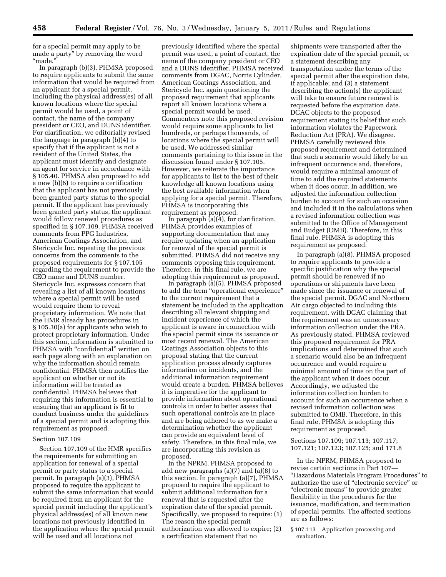for a special permit may apply to be made a party'' by removing the word ''made.''

In paragraph (b)(3), PHMSA proposed to require applicants to submit the same information that would be required from an applicant for a special permit, including the physical address(es) of all known locations where the special permit would be used, a point of contact, the name of the company president or CEO, and DUNS identifier. For clarification, we editorially revised the language in paragraph (b)(4) to specify that if the applicant is not a resident of the United States, the applicant must identify and designate an agent for service in accordance with § 105.40. PHMSA also proposed to add a new (b)(6) to require a certification that the applicant has not previously been granted party status to the special permit. If the applicant has previously been granted party status, the applicant would follow renewal procedures as specified in § 107.109. PHMSA received comments from PPG Industries, American Coatings Association, and Stericycle Inc. repeating the previous concerns from the comments to the proposed requirements for § 107.105 regarding the requirement to provide the CEO name and DUNS number. Stericycle Inc. expresses concern that revealing a list of all known locations where a special permit will be used would require them to reveal proprietary information. We note that the HMR already has procedures in § 105.30(a) for applicants who wish to protect proprietary information. Under this section, information is submitted to PHMSA with "confidential" written on each page along with an explanation on why the information should remain confidential. PHMSA then notifies the applicant on whether or not its information will be treated as confidential. PHMSA believes that requiring this information is essential to ensuring that an applicant is fit to conduct business under the guidelines of a special permit and is adopting this requirement as proposed.

## Section 107.109

Section 107.109 of the HMR specifies the requirements for submitting an application for renewal of a special permit or party status to a special permit. In paragraph (a)(3), PHMSA proposed to require the applicant to submit the same information that would be required from an applicant for the special permit including the applicant's physical address(es) of all known new locations not previously identified in the application where the special permit will be used and all locations not

previously identified where the special permit was used, a point of contact, the name of the company president or CEO and a DUNS identifier. PHMSA received comments from DGAC, Norris Cylinder, American Coatings Association, and Stericycle Inc. again questioning the proposed requirement that applicants report all known locations where a special permit would be used. Commenters note this proposed revision would require some applicants to list hundreds, or perhaps thousands, of locations where the special permit will be used. We addressed similar comments pertaining to this issue in the discussion found under § 107.105. However, we reiterate the importance for applicants to list to the best of their knowledge all known locations using the best available information when applying for a special permit. Therefore, PHMSA is incorporating this requirement as proposed.

In paragraph  $(a)(4)$ , for clarification, PHMSA provides examples of supporting documentation that may require updating when an application for renewal of the special permit is submitted. PHMSA did not receive any comments opposing this requirement. Therefore, in this final rule, we are adopting this requirement as proposed.

In paragraph (a)(5), PHMSA proposed to add the term ''operational experience'' to the current requirement that a statement be included in the application describing all relevant shipping and incident experience of which the applicant is aware in connection with the special permit since its issuance or most recent renewal. The American Coatings Association objects to this proposal stating that the current application process already captures information on incidents, and the additional information requirement would create a burden. PHMSA believes it is imperative for the applicant to provide information about operational controls in order to better assess that such operational controls are in place and are being adhered to as we make a determination whether the applicant can provide an equivalent level of safety. Therefore, in this final rule, we are incorporating this revision as proposed.

In the NPRM, PHMSA proposed to add new paragraphs (a)(7) and (a)(8) to this section. In paragraph (a)(7), PHMSA proposed to require the applicant to submit additional information for a renewal that is requested after the expiration date of the special permit. Specifically, we proposed to require: (1) The reason the special permit authorization was allowed to expire; (2) a certification statement that no

shipments were transported after the expiration date of the special permit, or a statement describing any transportation under the terms of the special permit after the expiration date, if applicable; and (3) a statement describing the action(s) the applicant will take to ensure future renewal is requested before the expiration date. DGAC objects to the proposed requirement stating its belief that such information violates the Paperwork Reduction Act (PRA). We disagree. PHMSA carefully reviewed this proposed requirement and determined that such a scenario would likely be an infrequent occurrence and, therefore, would require a minimal amount of time to add the required statements when it does occur. In addition, we adjusted the information collection burden to account for such an occasion and included it in the calculations when a revised information collection was submitted to the Office of Management and Budget (OMB). Therefore, in this final rule, PHMSA is adopting this requirement as proposed.

In paragraph (a)(8), PHMSA proposed to require applicants to provide a specific justification why the special permit should be renewed if no operations or shipments have been made since the issuance or renewal of the special permit. DGAC and Northern Air cargo objected to including this requirement, with DGAC claiming that the requirement was an unnecessary information collection under the PRA. As previously stated, PHMSA reviewed this proposed requirement for PRA implications and determined that such a scenario would also be an infrequent occurrence and would require a minimal amount of time on the part of the applicant when it does occur. Accordingly, we adjusted the information collection burden to account for such an occurrence when a revised information collection was submitted to OMB. Therefore, in this final rule, PHMSA is adopting this requirement as proposed.

Sections 107.109; 107.113; 107.117; 107.121; 107.123; 107.125; and 171.8

In the NPRM, PHMSA proposed to revise certain sections in Part 107— ''Hazardous Materials Program Procedures'' to authorize the use of ''electronic service'' or ''electronic means'' to provide greater flexibility in the procedures for the issuance, modification, and termination of special permits. The affected sections are as follows:

§ 107.113 Application processing and evaluation.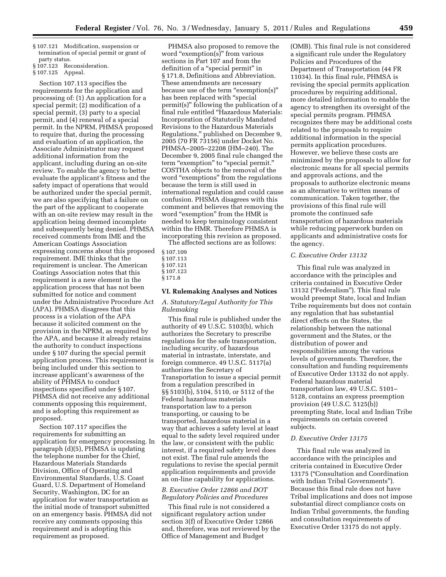§ 107.121 Modification, suspension or termination of special permit or grant of party status.

§ 107.125 Appeal.

Section 107.113 specifies the requirements for the application and processing of: (1) An application for a special permit; (2) modification of a special permit, (3) party to a special permit, and (4) renewal of a special permit. In the NPRM, PHMSA proposed to require that, during the processing and evaluation of an application, the Associate Administrator may request additional information from the applicant, including during an on-site review. To enable the agency to better evaluate the applicant's fitness and the safety impact of operations that would be authorized under the special permit, we are also specifying that a failure on the part of the applicant to cooperate with an on-site review may result in the application being deemed incomplete and subsequently being denied. PHMSA received comments from IME and the American Coatings Association expressing concerns about this proposed requirement. IME thinks that the requirement is unclear. The American Coatings Association notes that this requirement is a new element in the application process that has not been submitted for notice and comment under the Administrative Procedure Act (APA). PHMSA disagrees that this process is a violation of the APA because it solicited comment on the provision in the NPRM, as required by the APA, and because it already retains the authority to conduct inspections under § 107 during the special permit application process. This requirement is being included under this section to increase applicant's awareness of the ability of PHMSA to conduct inspections specified under § 107. PHMSA did not receive any additional comments opposing this requirement, and is adopting this requirement as proposed.

Section 107.117 specifies the requirements for submitting an application for emergency processing. In paragraph (d)(5), PHMSA is updating the telephone number for the Chief, Hazardous Materials Standards Division, Office of Operating and Environmental Standards, U.S. Coast Guard, U.S. Department of Homeland Security, Washington, DC for an application for water transportation as the initial mode of transport submitted on an emergency basis. PHMSA did not receive any comments opposing this requirement and is adopting this requirement as proposed.

PHMSA also proposed to remove the word "exemption(s)" from various sections in Part 107 and from the definition of a "special permit" in § 171.8, Definitions and Abbreviation. These amendments are necessary because use of the term "exemption(s)" has been replaced with "special" permit(s)'' following the publication of a final rule entitled ''Hazardous Materials: Incorporation of Statutorily Mandated Revisions to the Hazardous Materials Regulations,'' published on December 9, 2005 (70 FR 73156) under Docket No. PHMSA–2005–22208 (HM–240). The December 9, 2005 final rule changed the term "exemption" to "special permit." COSTHA objects to the removal of the word "exemptions" from the regulations because the term is still used in international regulation and could cause confusion. PHSMA disagrees with this comment and believes that removing the word "exemption" from the HMR is needed to keep terminology consistent within the HMR. Therefore PHMSA is incorporating this revision as proposed.

The affected sections are as follows:

§ 107.109 § 107.113 § 107.121 § 107.123 § 171.8

### **VI. Rulemaking Analyses and Notices**

*A. Statutory/Legal Authority for This Rulemaking* 

This final rule is published under the authority of 49 U.S.C. 5103(b), which authorizes the Secretary to prescribe regulations for the safe transportation, including security, of hazardous material in intrastate, interstate, and foreign commerce. 49 U.S.C. 5117(a) authorizes the Secretary of Transportation to issue a special permit from a regulation prescribed in §§ 5103(b), 5104, 5110, or 5112 of the Federal hazardous materials transportation law to a person transporting, or causing to be transported, hazardous material in a way that achieves a safety level at least equal to the safety level required under the law, or consistent with the public interest, if a required safety level does not exist. The final rule amends the regulations to revise the special permit application requirements and provide an on-line capability for applications.

## *B. Executive Order 12866 and DOT Regulatory Policies and Procedures*

This final rule is not considered a significant regulatory action under section 3(f) of Executive Order 12866 and, therefore, was not reviewed by the Office of Management and Budget

(OMB). This final rule is not considered a significant rule under the Regulatory Policies and Procedures of the Department of Transportation (44 FR 11034). In this final rule, PHMSA is revising the special permits application procedures by requiring additional, more detailed information to enable the agency to strengthen its oversight of the special permits program. PHMSA recognizes there may be additional costs related to the proposals to require additional information in the special permits application procedures. However, we believe these costs are minimized by the proposals to allow for electronic means for all special permits and approvals actions, and the proposals to authorize electronic means as an alternative to written means of communication. Taken together, the provisions of this final rule will promote the continued safe transportation of hazardous materials while reducing paperwork burden on applicants and administrative costs for the agency.

## *C. Executive Order 13132*

This final rule was analyzed in accordance with the principles and criteria contained in Executive Order 13132 (''Federalism''). This final rule would preempt State, local and Indian Tribe requirements but does not contain any regulation that has substantial direct effects on the States, the relationship between the national government and the States, or the distribution of power and responsibilities among the various levels of governments. Therefore, the consultation and funding requirements of Executive Order 13132 do not apply. Federal hazardous material transportation law, 49 U.S.C. 5101– 5128, contains an express preemption provision (49 U.S.C. 5125(b)) preempting State, local and Indian Tribe requirements on certain covered subjects.

## *D. Executive Order 13175*

This final rule was analyzed in accordance with the principles and criteria contained in Executive Order 13175 (''Consultation and Coordination with Indian Tribal Governments''). Because this final rule does not have Tribal implications and does not impose substantial direct compliance costs on Indian Tribal governments, the funding and consultation requirements of Executive Order 13175 do not apply.

<sup>§ 107.123</sup> Reconsideration.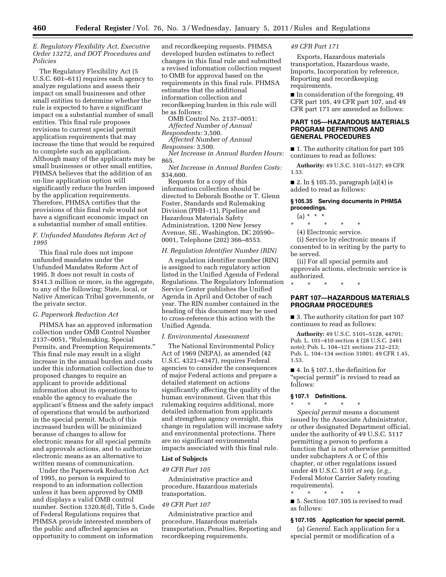# *E. Regulatory Flexibility Act, Executive Order 13272, and DOT Procedures and Policies*

The Regulatory Flexibility Act (5 U.S.C. 601–611) requires each agency to analyze regulations and assess their impact on small businesses and other small entities to determine whether the rule is expected to have a significant impact on a substantial number of small entities. This final rule proposes revisions to current special permit application requirements that may increase the time that would be required to complete such an application. Although many of the applicants may be small businesses or other small entities, PHMSA believes that the addition of an on-line application option will significantly reduce the burden imposed by the application requirements. Therefore, PHMSA certifies that the provisions of this final rule would not have a significant economic impact on a substantial number of small entities.

## *F. Unfunded Mandates Reform Act of 1995*

This final rule does not impose unfunded mandates under the Unfunded Mandates Reform Act of 1995. It does not result in costs of \$141.3 million or more, in the aggregate, to any of the following: State, local, or Native American Tribal governments, or the private sector.

#### *G. Paperwork Reduction Act*

PHMSA has an approved information collection under OMB Control Number 2137–0051, ''Rulemaking, Special Permits, and Preemption Requirements.'' This final rule may result in a slight increase in the annual burden and costs under this information collection due to proposed changes to require an applicant to provide additional information about its operations to enable the agency to evaluate the applicant's fitness and the safety impact of operations that would be authorized in the special permit. Much of this increased burden will be minimized because of changes to allow for electronic means for all special permits and approvals actions, and to authorize electronic means as an alternative to written means of communication.

Under the Paperwork Reduction Act of 1995, no person is required to respond to an information collection unless it has been approved by OMB and displays a valid OMB control number. Section 1320.8(d), Title 5, Code of Federal Regulations requires that PHMSA provide interested members of the public and affected agencies an opportunity to comment on information

and recordkeeping requests. PHMSA developed burden estimates to reflect changes in this final rule and submitted a revised information collection request to OMB for approval based on the requirements in this final rule. PHMSA estimates that the additional information collection and recordkeeping burden in this rule will be as follows:

OMB Control No. 2137–0051: *Affected Number of Annual* 

*Respondents:* 3,500.

*Affected Number of Annual Responses:* 3,500.

*Net Increase in Annual Burden Hours:*  865.

*Net Increase in Annual Burden Costs:*  \$34,600.

Requests for a copy of this information collection should be directed to Deborah Boothe or T. Glenn Foster, Standards and Rulemaking Division (PHH–11), Pipeline and Hazardous Materials Safety Administration, 1200 New Jersey Avenue, SE., Washington, DC 20590– 0001, Telephone (202) 366–8553.

## *H. Regulation Identifier Number (RIN)*

A regulation identifier number (RIN) is assigned to each regulatory action listed in the Unified Agenda of Federal Regulations. The Regulatory Information Service Center publishes the Unified Agenda in April and October of each year. The RIN number contained in the heading of this document may be used to cross-reference this action with the Unified Agenda.

### *I. Environmental Assessment*

The National Environmental Policy Act of 1969 (NEPA), as amended (42 U.S.C. 4321–4347), requires Federal agencies to consider the consequences of major Federal actions and prepare a detailed statement on actions significantly affecting the quality of the human environment. Given that this rulemaking requires additional, more detailed information from applicants and strengthen agency oversight, this change in regulation will increase safety and environmental protections. There are no significant environmental impacts associated with this final rule.

#### **List of Subjects**

## *49 CFR Part 105*

Administrative practice and procedure, Hazardous materials transportation.

#### *49 CFR Part 107*

Administrative practice and procedure, Hazardous materials transportation, Penalties, Reporting and recordkeeping requirements.

#### *49 CFR Part 171*

Exports, Hazardous materials transportation, Hazardous waste, Imports, Incorporation by reference, Reporting and recordkeeping requirements.

■ In consideration of the foregoing, 49 CFR part 105, 49 CFR part 107, and 49 CFR part 171 are amended as follows:

# **PART 105—HAZARDOUS MATERIALS PROGRAM DEFINITIONS AND GENERAL PROCEDURES**

■ 1. The authority citation for part 105 continues to read as follows:

**Authority:** 49 U.S.C. 5101–5127; 49 CFR 1.53.

■ 2. In § 105.35, paragraph (a)(4) is added to read as follows:

## **§ 105.35 Serving documents in PHMSA proceedings.**

(a) \* \* \*

\* \* \* \* \* (4) Electronic service.

(i) Service by electronic means if consented to in writing by the party to be served.

(ii) For all special permits and approvals actions, electronic service is authorized.

\* \* \* \* \*

## **PART 107—HAZARDOUS MATERIALS PROGRAM PROCEDURES**

■ 3. The authority citation for part 107 continues to read as follows:

**Authority:** 49 U.S.C. 5101–5128, 44701; Pub. L. 101–410 section 4 (28 U.S.C. 2461 note); Pub. L. 104–121 sections 212–213; Pub. L. 104–134 section 31001; 49 CFR 1.45, 1.53.

■ 4. In § 107.1, the definition for "special permit" is revised to read as follows:

# **§ 107.1 Definitions.**

\* \* \* \* \* *Special permit* means a document issued by the Associate Administrator, or other designated Department official, under the authority of 49 U.S.C. 5117 permitting a person to perform a function that is not otherwise permitted under subchapters A or C of this chapter, or other regulations issued under 49 U.S.C. 5101 *et seq.* (*e.g.,*  Federal Motor Carrier Safety routing requirements).

\* \* \* \* \*

■ 5. Section 107.105 is revised to read as follows:

#### **§ 107.105 Application for special permit.**

(a) *General.* Each application for a special permit or modification of a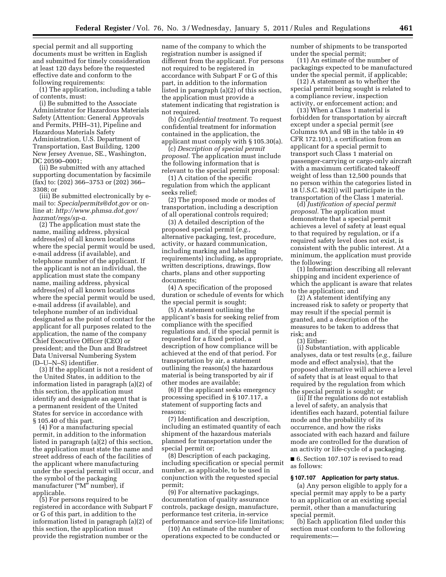special permit and all supporting documents must be written in English and submitted for timely consideration at least 120 days before the requested effective date and conform to the following requirements:

(1) The application, including a table of contents, must:

(i) Be submitted to the Associate Administrator for Hazardous Materials Safety (Attention: General Approvals and Permits, PHH–31), Pipeline and Hazardous Materials Safety Administration, U.S. Department of Transportation, East Building, 1200 New Jersey Avenue, SE., Washington, DC 20590–0001;

(ii) Be submitted with any attached supporting documentation by facsimile (fax) to: (202) 366–3753 or (202) 366– 3308; or

(iii) Be submitted electronically by email to: *[Specialpermits@dot.gov](mailto:Specialpermits@dot.gov)* or online at: *[http://www.phmsa.dot.gov/](http://www.phmsa.dot.gov/hazmat/regs/sp-a)  [hazmat/regs/sp-a.](http://www.phmsa.dot.gov/hazmat/regs/sp-a)* 

(2) The application must state the name, mailing address, physical address(es) of all known locations where the special permit would be used, e-mail address (if available), and telephone number of the applicant. If the applicant is not an individual, the application must state the company name, mailing address, physical address(es) of all known locations where the special permit would be used, e-mail address (if available), and telephone number of an individual designated as the point of contact for the applicant for all purposes related to the application, the name of the company Chief Executive Officer (CEO) or president; and the Dun and Bradstreet Data Universal Numbering System (D–U–N–S) identifier.

(3) If the applicant is not a resident of the United States, in addition to the information listed in paragraph (a)(2) of this section, the application must identify and designate an agent that is a permanent resident of the United States for service in accordance with § 105.40 of this part.

(4) For a manufacturing special permit, in addition to the information listed in paragraph (a)(2) of this section, the application must state the name and street address of each of the facilities of the applicant where manufacturing under the special permit will occur, and the symbol of the packaging manufacturer (''M'' number), if applicable.

(5) For persons required to be registered in accordance with Subpart F or G of this part, in addition to the information listed in paragraph (a)(2) of this section, the application must provide the registration number or the

name of the company to which the registration number is assigned if different from the applicant. For persons not required to be registered in accordance with Subpart F or G of this part, in addition to the information listed in paragraph (a)(2) of this section, the application must provide a statement indicating that registration is not required.

(b) *Confidential treatment.* To request confidential treatment for information contained in the application, the applicant must comply with § 105.30(a).

(c) *Description of special permit proposal.* The application must include the following information that is relevant to the special permit proposal:

(1) A citation of the specific regulation from which the applicant seeks relief;

(2) The proposed mode or modes of transportation, including a description of all operational controls required;

(3) A detailed description of the proposed special permit (*e.g.,*  alternative packaging, test, procedure, activity, or hazard communication, including marking and labeling requirements) including, as appropriate, written descriptions, drawings, flow charts, plans and other supporting documents;

(4) A specification of the proposed duration or schedule of events for which the special permit is sought;

(5) A statement outlining the applicant's basis for seeking relief from compliance with the specified regulations and, if the special permit is requested for a fixed period, a description of how compliance will be achieved at the end of that period. For transportation by air, a statement outlining the reason(s) the hazardous material is being transported by air if other modes are available;

(6) If the applicant seeks emergency processing specified in § 107.117, a statement of supporting facts and reasons;

(7) Identification and description, including an estimated quantity of each shipment of the hazardous materials planned for transportation under the special permit or;

(8) Description of each packaging, including specification or special permit number, as applicable, to be used in conjunction with the requested special permit;

(9) For alternative packagings, documentation of quality assurance controls, package design, manufacture, performance test criteria, in-service performance and service-life limitations;

(10) An estimate of the number of operations expected to be conducted or number of shipments to be transported under the special permit;

(11) An estimate of the number of packagings expected to be manufactured under the special permit, if applicable;

(12) A statement as to whether the special permit being sought is related to a compliance review, inspection activity, or enforcement action; and

(13) When a Class 1 material is forbidden for transportation by aircraft except under a special permit (*see*  Columns 9A and 9B in the table in 49 CFR 172.101), a certification from an applicant for a special permit to transport such Class 1 material on passenger-carrying or cargo-only aircraft with a maximum certificated takeoff weight of less than 12,500 pounds that no person within the categories listed in 18 U.S.C. 842(i) will participate in the transportation of the Class 1 material.

(d) *Justification of special permit proposal.* The application must demonstrate that a special permit achieves a level of safety at least equal to that required by regulation, or if a required safety level does not exist, is consistent with the public interest. At a minimum, the application must provide the following:

(1) Information describing all relevant shipping and incident experience of which the applicant is aware that relates to the application; and

(2) A statement identifying any increased risk to safety or property that may result if the special permit is granted, and a description of the measures to be taken to address that risk; and

(3) Either:

(i) Substantiation, with applicable analyses, data or test results (*e.g.,* failure mode and effect analysis), that the proposed alternative will achieve a level of safety that is at least equal to that required by the regulation from which the special permit is sought; or

(ii) If the regulations do not establish a level of safety, an analysis that identifies each hazard, potential failure mode and the probability of its occurrence, and how the risks associated with each hazard and failure mode are controlled for the duration of an activity or life-cycle of a packaging.

■ 6. Section 107.107 is revised to read as follows:

#### **§ 107.107 Application for party status.**

(a) Any person eligible to apply for a special permit may apply to be a party to an application or an existing special permit, other than a manufacturing special permit.

(b) Each application filed under this section must conform to the following requirements:—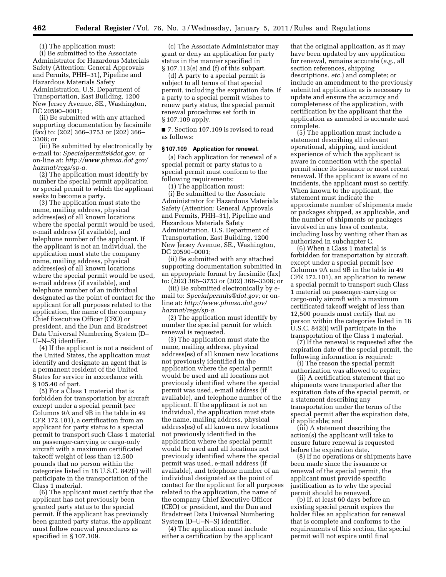(1) The application must:

(i) Be submitted to the Associate Administrator for Hazardous Materials Safety (Attention: General Approvals and Permits, PHH–31), Pipeline and Hazardous Materials Safety Administration, U.S. Department of Transportation, East Building, 1200 New Jersey Avenue, SE., Washington, DC 20590–0001;

(ii) Be submitted with any attached supporting documentation by facsimile (fax) to: (202) 366–3753 or (202) 366– 3308; or

(iii) Be submitted by electronically by e-mail to: *[Specialpermits@dot.gov,](mailto:Specialpermits@dot.gov)* or on-line at: *[http://www.phmsa.dot.gov/](http://www.phmsa.dot.gov/hazmat/regs/sp-a) [hazmat/regs/sp-a.](http://www.phmsa.dot.gov/hazmat/regs/sp-a)* 

(2) The application must identify by number the special permit application or special permit to which the applicant seeks to become a party.

(3) The application must state the name, mailing address, physical address(es) of all known locations where the special permit would be used, e-mail address (if available), and telephone number of the applicant. If the applicant is not an individual, the application must state the company name, mailing address, physical address(es) of all known locations where the special permit would be used, e-mail address (if available), and telephone number of an individual designated as the point of contact for the applicant for all purposes related to the application, the name of the company Chief Executive Officer (CEO) or president, and the Dun and Bradstreet Data Universal Numbering System (D– U–N–S) identifier.

(4) If the applicant is not a resident of the United States, the application must identify and designate an agent that is a permanent resident of the United States for service in accordance with § 105.40 of part.

(5) For a Class 1 material that is forbidden for transportation by aircraft except under a special permit (*see*  Columns 9A and 9B in the table in 49 CFR 172.101), a certification from an applicant for party status to a special permit to transport such Class 1 material on passenger-carrying or cargo-only aircraft with a maximum certificated takeoff weight of less than 12,500 pounds that no person within the categories listed in 18 U.S.C. 842(i) will participate in the transportation of the Class 1 material.

(6) The applicant must certify that the applicant has not previously been granted party status to the special permit. If the applicant has previously been granted party status, the applicant must follow renewal procedures as specified in § 107.109.

(c) The Associate Administrator may grant or deny an application for party status in the manner specified in § 107.113(e) and (f) of this subpart.

(d) A party to a special permit is subject to all terms of that special permit, including the expiration date. If a party to a special permit wishes to renew party status, the special permit renewal procedures set forth in § 107.109 apply.

■ 7. Section 107.109 is revised to read as follows:

#### **§ 107.109 Application for renewal.**

(a) Each application for renewal of a special permit or party status to a special permit must conform to the following requirements:

(1) The application must:

(i) Be submitted to the Associate Administrator for Hazardous Materials Safety (Attention: General Approvals and Permits, PHH–31), Pipeline and Hazardous Materials Safety Administration, U.S. Department of Transportation, East Building, 1200 New Jersey Avenue, SE., Washington, DC 20590–0001;

(ii) Be submitted with any attached supporting documentation submitted in an appropriate format by facsimile (fax) to: (202) 366–3753 or (202) 366–3308; or

(iii) Be submitted electronically by email to: *[Specialpermits@dot.gov;](mailto:Specialpermits@dot.gov)* or online at: *[http://www.phmsa.dot.gov/](http://www.phmsa.dot.gov/hazmat/regs/sp-a)  [hazmat/regs/sp-a.](http://www.phmsa.dot.gov/hazmat/regs/sp-a)* 

(2) The application must identify by number the special permit for which renewal is requested.

(3) The application must state the name, mailing address, physical address(es) of all known new locations not previously identified in the application where the special permit would be used and all locations not previously identified where the special permit was used, e-mail address (if available), and telephone number of the applicant. If the applicant is not an individual, the application must state the name, mailing address, physical address(es) of all known new locations not previously identified in the application where the special permit would be used and all locations not previously identified where the special permit was used, e-mail address (if available), and telephone number of an individual designated as the point of contact for the applicant for all purposes related to the application, the name of the company Chief Executive Officer (CEO) or president, and the Dun and Bradstreet Data Universal Numbering System (D–U–N–S) identifier.

(4) The application must include either a certification by the applicant

that the original application, as it may have been updated by any application for renewal, remains accurate (*e.g.,* all section references, shipping descriptions, *etc.*) and complete; or include an amendment to the previously submitted application as is necessary to update and ensure the accuracy and completeness of the application, with certification by the applicant that the application as amended is accurate and complete.

(5) The application must include a statement describing all relevant operational, shipping, and incident experience of which the applicant is aware in connection with the special permit since its issuance or most recent renewal. If the applicant is aware of no incidents, the applicant must so certify. When known to the applicant, the statement must indicate the approximate number of shipments made or packages shipped, as applicable, and the number of shipments or packages involved in any loss of contents, including loss by venting other than as authorized in subchapter C.

(6) When a Class 1 material is forbidden for transportation by aircraft, except under a special permit (*see*  Columns 9A and 9B in the table in 49 CFR 172.101), an application to renew a special permit to transport such Class 1 material on passenger-carrying or cargo-only aircraft with a maximum certificated takeoff weight of less than 12,500 pounds must certify that no person within the categories listed in 18 U.S.C. 842(i) will participate in the transportation of the Class 1 material.

(7) If the renewal is requested after the expiration date of the special permit, the following information is required:

(i) The reason the special permit authorization was allowed to expire;

(ii) A certification statement that no shipments were transported after the expiration date of the special permit, or a statement describing any transportation under the terms of the special permit after the expiration date, if applicable; and

(iii) A statement describing the action(s) the applicant will take to ensure future renewal is requested before the expiration date.

(8) If no operations or shipments have been made since the issuance or renewal of the special permit, the applicant must provide specific justification as to why the special permit should be renewed.

(b) If, at least 60 days before an existing special permit expires the holder files an application for renewal that is complete and conforms to the requirements of this section, the special permit will not expire until final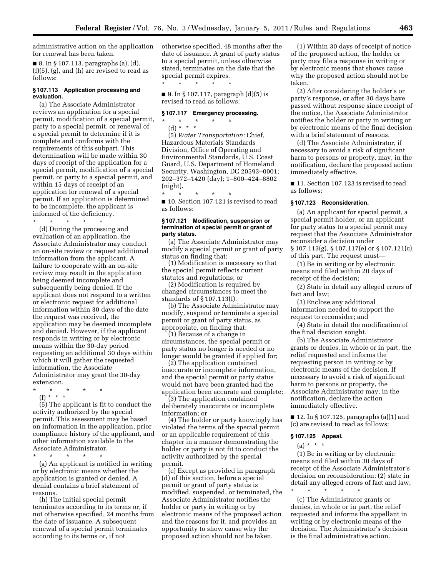administrative action on the application for renewal has been taken.

 $\blacksquare$  8. In § 107.113, paragraphs (a), (d), (f)(5), (g), and (h) are revised to read as follows:

## **§ 107.113 Application processing and evaluation.**

(a) The Associate Administrator reviews an application for a special permit, modification of a special permit, party to a special permit, or renewal of a special permit to determine if it is complete and conforms with the requirements of this subpart. This determination will be made within 30 days of receipt of the application for a special permit, modification of a special permit, or party to a special permit, and within 15 days of receipt of an application for renewal of a special permit. If an application is determined to be incomplete, the applicant is informed of the deficiency.

\* \* \* \* \*

(d) During the processing and evaluation of an application, the Associate Administrator may conduct an on-site review or request additional information from the applicant. A failure to cooperate with an on-site review may result in the application being deemed incomplete and subsequently being denied. If the applicant does not respond to a written or electronic request for additional information within 30 days of the date the request was received, the application may be deemed incomplete and denied. However, if the applicant responds in writing or by electronic means within the 30-day period requesting an additional 30 days within which it will gather the requested information, the Associate Administrator may grant the 30-day extension.

\* \* \* \* \*

(f) \* \* \*

(5) The applicant is fit to conduct the activity authorized by the special permit. This assessment may be based on information in the application, prior compliance history of the applicant, and other information available to the Associate Administrator.

\* \* \* \* \*

(g) An applicant is notified in writing or by electronic means whether the application is granted or denied. A denial contains a brief statement of reasons.

(h) The initial special permit terminates according to its terms or, if not otherwise specified, 24 months from the date of issuance. A subsequent renewal of a special permit terminates according to its terms or, if not

otherwise specified, 48 months after the date of issuance. A grant of party status to a special permit, unless otherwise stated, terminates on the date that the special permit expires. \* \* \* \* \*

 $\blacksquare$  9. In § 107.117, paragraph  $(d)(5)$  is revised to read as follows:

## **§ 107.117 Emergency processing.**

\* \* \* \* \* (d) \* \* \*

(5) *Water Transportation:* Chief, Hazardous Materials Standards Division, Office of Operating and Environmental Standards, U.S. Coast Guard, U.S. Department of Homeland Security, Washington, DC 20593–0001; 202–372–1420 (day); 1–800–424–8802 (night).

\* \* \* \* \* ■ 10. Section 107.121 is revised to read as follows:

#### **§ 107.121 Modification, suspension or termination of special permit or grant of party status.**

(a) The Associate Administrator may modify a special permit or grant of party status on finding that:

(1) Modification is necessary so that the special permit reflects current statutes and regulations; or

(2) Modification is required by changed circumstances to meet the standards of § 107.113(f).

(b) The Associate Administrator may modify, suspend or terminate a special permit or grant of party status, as appropriate, on finding that:

(1) Because of a change in circumstances, the special permit or party status no longer is needed or no longer would be granted if applied for;

(2) The application contained inaccurate or incomplete information, and the special permit or party status would not have been granted had the application been accurate and complete;

(3) The application contained deliberately inaccurate or incomplete information; or

(4) The holder or party knowingly has violated the terms of the special permit or an applicable requirement of this chapter in a manner demonstrating the holder or party is not fit to conduct the activity authorized by the special permit.

(c) Except as provided in paragraph (d) of this section, before a special permit or grant of party status is modified, suspended, or terminated, the Associate Administrator notifies the holder or party in writing or by electronic means of the proposed action and the reasons for it, and provides an opportunity to show cause why the proposed action should not be taken.

(1) Within 30 days of receipt of notice of the proposed action, the holder or party may file a response in writing or by electronic means that shows cause why the proposed action should not be taken.

(2) After considering the holder's or party's response, or after 30 days have passed without response since receipt of the notice, the Associate Administrator notifies the holder or party in writing or by electronic means of the final decision with a brief statement of reasons.

(d) The Associate Administrator, if necessary to avoid a risk of significant harm to persons or property, may, in the notification, declare the proposed action immediately effective.

■ 11. Section 107.123 is revised to read as follows:

## **§ 107.123 Reconsideration.**

(a) An applicant for special permit, a special permit holder, or an applicant for party status to a special permit may request that the Associate Administrator reconsider a decision under § 107.113(g), § 107.117(e) or § 107.121(c) of this part. The request must—

(1) Be in writing or by electronic means and filed within 20 days of receipt of the decision;

(2) State in detail any alleged errors of fact and law;

(3) Enclose any additional information needed to support the request to reconsider; and

(4) State in detail the modification of the final decision sought.

(b) The Associate Administrator grants or denies, in whole or in part, the relief requested and informs the requesting person in writing or by electronic means of the decision. If necessary to avoid a risk of significant harm to persons or property, the Associate Administrator may, in the notification, declare the action immediately effective.

■ 12. In § 107.125, paragraphs (a)(1) and (c) are revised to read as follows:

## **§ 107.125 Appeal.**

# $(a) * * * *$

(1) Be in writing or by electronic means and filed within 30 days of receipt of the Associate Administrator's decision on reconsideration; (2) state in detail any alleged errors of fact and law;

\* \* \* \* \* (c) The Administrator grants or denies, in whole or in part, the relief requested and informs the appellant in writing or by electronic means of the decision. The Administrator's decision is the final administrative action.